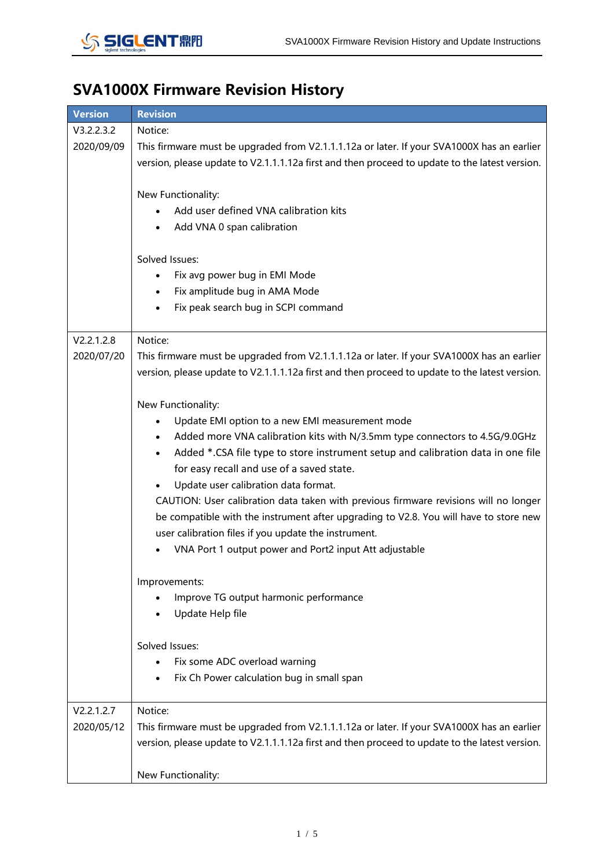

## **SVA1000X Firmware Revision History**

| <b>Version</b>           | <b>Revision</b>                                                                                                                                                                                                                                                                                                                                                                                                                                                                                                                                                                                                                                                                                                                                                                                                                                                                    |
|--------------------------|------------------------------------------------------------------------------------------------------------------------------------------------------------------------------------------------------------------------------------------------------------------------------------------------------------------------------------------------------------------------------------------------------------------------------------------------------------------------------------------------------------------------------------------------------------------------------------------------------------------------------------------------------------------------------------------------------------------------------------------------------------------------------------------------------------------------------------------------------------------------------------|
| V3.2.2.3.2<br>2020/09/09 | Notice:<br>This firmware must be upgraded from V2.1.1.1.12a or later. If your SVA1000X has an earlier<br>version, please update to V2.1.1.1.12a first and then proceed to update to the latest version.<br>New Functionality:<br>Add user defined VNA calibration kits<br>Add VNA 0 span calibration<br>Solved Issues:<br>Fix avg power bug in EMI Mode<br>Fix amplitude bug in AMA Mode<br>$\bullet$<br>Fix peak search bug in SCPI command                                                                                                                                                                                                                                                                                                                                                                                                                                       |
|                          |                                                                                                                                                                                                                                                                                                                                                                                                                                                                                                                                                                                                                                                                                                                                                                                                                                                                                    |
| V2.2.1.2.8<br>2020/07/20 | Notice:<br>This firmware must be upgraded from V2.1.1.1.12a or later. If your SVA1000X has an earlier<br>version, please update to V2.1.1.1.12a first and then proceed to update to the latest version.<br>New Functionality:<br>Update EMI option to a new EMI measurement mode<br>Added more VNA calibration kits with N/3.5mm type connectors to 4.5G/9.0GHz<br>$\bullet$<br>Added *.CSA file type to store instrument setup and calibration data in one file<br>$\bullet$<br>for easy recall and use of a saved state.<br>Update user calibration data format.<br>$\bullet$<br>CAUTION: User calibration data taken with previous firmware revisions will no longer<br>be compatible with the instrument after upgrading to V2.8. You will have to store new<br>user calibration files if you update the instrument.<br>VNA Port 1 output power and Port2 input Att adjustable |
|                          | Improvements:                                                                                                                                                                                                                                                                                                                                                                                                                                                                                                                                                                                                                                                                                                                                                                                                                                                                      |
|                          | Improve TG output harmonic performance<br>Update Help file                                                                                                                                                                                                                                                                                                                                                                                                                                                                                                                                                                                                                                                                                                                                                                                                                         |
|                          | Solved Issues:                                                                                                                                                                                                                                                                                                                                                                                                                                                                                                                                                                                                                                                                                                                                                                                                                                                                     |
|                          | Fix some ADC overload warning                                                                                                                                                                                                                                                                                                                                                                                                                                                                                                                                                                                                                                                                                                                                                                                                                                                      |
|                          | Fix Ch Power calculation bug in small span                                                                                                                                                                                                                                                                                                                                                                                                                                                                                                                                                                                                                                                                                                                                                                                                                                         |
| V2.2.1.2.7               | Notice:                                                                                                                                                                                                                                                                                                                                                                                                                                                                                                                                                                                                                                                                                                                                                                                                                                                                            |
| 2020/05/12               | This firmware must be upgraded from V2.1.1.1.12a or later. If your SVA1000X has an earlier<br>version, please update to V2.1.1.1.12a first and then proceed to update to the latest version.                                                                                                                                                                                                                                                                                                                                                                                                                                                                                                                                                                                                                                                                                       |
|                          | New Functionality:                                                                                                                                                                                                                                                                                                                                                                                                                                                                                                                                                                                                                                                                                                                                                                                                                                                                 |
|                          |                                                                                                                                                                                                                                                                                                                                                                                                                                                                                                                                                                                                                                                                                                                                                                                                                                                                                    |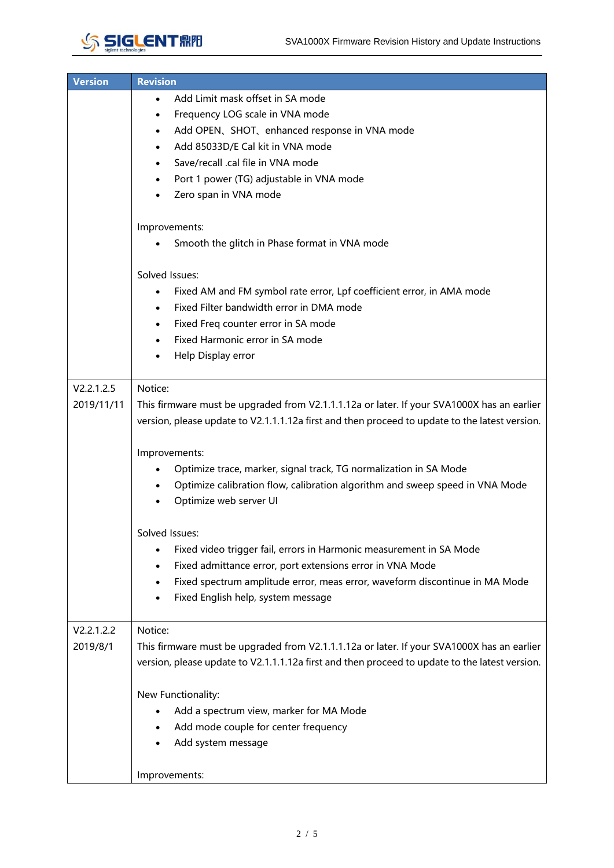

| <b>Version</b> | <b>Revision</b>                                                                                |  |  |  |  |  |  |  |
|----------------|------------------------------------------------------------------------------------------------|--|--|--|--|--|--|--|
|                | Add Limit mask offset in SA mode<br>$\bullet$                                                  |  |  |  |  |  |  |  |
|                | Frequency LOG scale in VNA mode<br>$\bullet$                                                   |  |  |  |  |  |  |  |
|                | Add OPEN、SHOT、enhanced response in VNA mode<br>$\bullet$                                       |  |  |  |  |  |  |  |
|                | Add 85033D/E Cal kit in VNA mode                                                               |  |  |  |  |  |  |  |
|                | Save/recall .cal file in VNA mode<br>$\bullet$                                                 |  |  |  |  |  |  |  |
|                | Port 1 power (TG) adjustable in VNA mode                                                       |  |  |  |  |  |  |  |
|                | Zero span in VNA mode                                                                          |  |  |  |  |  |  |  |
|                |                                                                                                |  |  |  |  |  |  |  |
|                | Improvements:                                                                                  |  |  |  |  |  |  |  |
|                | Smooth the glitch in Phase format in VNA mode                                                  |  |  |  |  |  |  |  |
|                |                                                                                                |  |  |  |  |  |  |  |
|                | Solved Issues:                                                                                 |  |  |  |  |  |  |  |
|                | Fixed AM and FM symbol rate error, Lpf coefficient error, in AMA mode<br>$\bullet$             |  |  |  |  |  |  |  |
|                | Fixed Filter bandwidth error in DMA mode                                                       |  |  |  |  |  |  |  |
|                | Fixed Freq counter error in SA mode<br>$\bullet$                                               |  |  |  |  |  |  |  |
|                | Fixed Harmonic error in SA mode                                                                |  |  |  |  |  |  |  |
|                | Help Display error                                                                             |  |  |  |  |  |  |  |
|                |                                                                                                |  |  |  |  |  |  |  |
| V2.2.1.2.5     | Notice:                                                                                        |  |  |  |  |  |  |  |
| 2019/11/11     | This firmware must be upgraded from V2.1.1.1.12a or later. If your SVA1000X has an earlier     |  |  |  |  |  |  |  |
|                | version, please update to V2.1.1.1.12a first and then proceed to update to the latest version. |  |  |  |  |  |  |  |
|                |                                                                                                |  |  |  |  |  |  |  |
|                | Improvements:                                                                                  |  |  |  |  |  |  |  |
|                | Optimize trace, marker, signal track, TG normalization in SA Mode                              |  |  |  |  |  |  |  |
|                | Optimize calibration flow, calibration algorithm and sweep speed in VNA Mode                   |  |  |  |  |  |  |  |
|                | Optimize web server UI                                                                         |  |  |  |  |  |  |  |
|                |                                                                                                |  |  |  |  |  |  |  |
|                | Solved Issues:                                                                                 |  |  |  |  |  |  |  |
|                | Fixed video trigger fail, errors in Harmonic measurement in SA Mode                            |  |  |  |  |  |  |  |
|                | Fixed admittance error, port extensions error in VNA Mode<br>$\bullet$                         |  |  |  |  |  |  |  |
|                | Fixed spectrum amplitude error, meas error, waveform discontinue in MA Mode                    |  |  |  |  |  |  |  |
|                | Fixed English help, system message                                                             |  |  |  |  |  |  |  |
|                |                                                                                                |  |  |  |  |  |  |  |
| V2.2.1.2.2     | Notice:                                                                                        |  |  |  |  |  |  |  |
| 2019/8/1       | This firmware must be upgraded from V2.1.1.1.12a or later. If your SVA1000X has an earlier     |  |  |  |  |  |  |  |
|                | version, please update to V2.1.1.1.12a first and then proceed to update to the latest version. |  |  |  |  |  |  |  |
|                |                                                                                                |  |  |  |  |  |  |  |
|                | New Functionality:                                                                             |  |  |  |  |  |  |  |
|                | Add a spectrum view, marker for MA Mode                                                        |  |  |  |  |  |  |  |
|                | Add mode couple for center frequency                                                           |  |  |  |  |  |  |  |
|                | Add system message                                                                             |  |  |  |  |  |  |  |
|                |                                                                                                |  |  |  |  |  |  |  |
|                | Improvements:                                                                                  |  |  |  |  |  |  |  |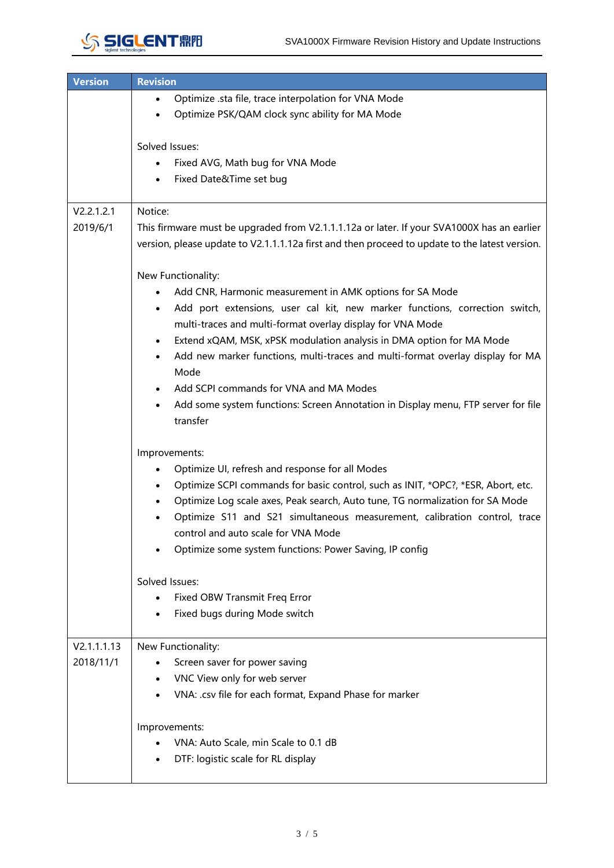

| <b>Version</b> | <b>Revision</b>                                                                                                                                                                              |  |  |  |  |  |
|----------------|----------------------------------------------------------------------------------------------------------------------------------------------------------------------------------------------|--|--|--|--|--|
|                | Optimize .sta file, trace interpolation for VNA Mode<br>$\bullet$                                                                                                                            |  |  |  |  |  |
|                | Optimize PSK/QAM clock sync ability for MA Mode                                                                                                                                              |  |  |  |  |  |
|                | Solved Issues:<br>Fixed AVG, Math bug for VNA Mode                                                                                                                                           |  |  |  |  |  |
|                | Fixed Date&Time set bug<br>$\bullet$                                                                                                                                                         |  |  |  |  |  |
|                |                                                                                                                                                                                              |  |  |  |  |  |
| V2.2.1.2.1     | Notice:                                                                                                                                                                                      |  |  |  |  |  |
| 2019/6/1       | This firmware must be upgraded from V2.1.1.1.12a or later. If your SVA1000X has an earlier<br>version, please update to V2.1.1.1.12a first and then proceed to update to the latest version. |  |  |  |  |  |
|                | New Functionality:                                                                                                                                                                           |  |  |  |  |  |
|                | Add CNR, Harmonic measurement in AMK options for SA Mode<br>$\bullet$                                                                                                                        |  |  |  |  |  |
|                | Add port extensions, user cal kit, new marker functions, correction switch,<br>$\bullet$<br>multi-traces and multi-format overlay display for VNA Mode                                       |  |  |  |  |  |
|                | Extend xQAM, MSK, xPSK modulation analysis in DMA option for MA Mode<br>$\bullet$                                                                                                            |  |  |  |  |  |
|                | Add new marker functions, multi-traces and multi-format overlay display for MA<br>$\bullet$                                                                                                  |  |  |  |  |  |
|                | Mode                                                                                                                                                                                         |  |  |  |  |  |
|                | Add SCPI commands for VNA and MA Modes                                                                                                                                                       |  |  |  |  |  |
|                | Add some system functions: Screen Annotation in Display menu, FTP server for file<br>$\bullet$                                                                                               |  |  |  |  |  |
|                | transfer                                                                                                                                                                                     |  |  |  |  |  |
|                | Improvements:                                                                                                                                                                                |  |  |  |  |  |
|                | Optimize UI, refresh and response for all Modes<br>$\bullet$                                                                                                                                 |  |  |  |  |  |
|                | Optimize SCPI commands for basic control, such as INIT, *OPC?, *ESR, Abort, etc.<br>$\bullet$                                                                                                |  |  |  |  |  |
|                | Optimize Log scale axes, Peak search, Auto tune, TG normalization for SA Mode<br>$\bullet$                                                                                                   |  |  |  |  |  |
|                | Optimize S11 and S21 simultaneous measurement, calibration control, trace                                                                                                                    |  |  |  |  |  |
|                | control and auto scale for VNA Mode                                                                                                                                                          |  |  |  |  |  |
|                | Optimize some system functions: Power Saving, IP config                                                                                                                                      |  |  |  |  |  |
|                |                                                                                                                                                                                              |  |  |  |  |  |
|                | Solved Issues:                                                                                                                                                                               |  |  |  |  |  |
|                | Fixed OBW Transmit Freq Error                                                                                                                                                                |  |  |  |  |  |
|                | Fixed bugs during Mode switch<br>$\bullet$                                                                                                                                                   |  |  |  |  |  |
| V2.1.1.1.13    | New Functionality:                                                                                                                                                                           |  |  |  |  |  |
| 2018/11/1      | Screen saver for power saving<br>$\bullet$                                                                                                                                                   |  |  |  |  |  |
|                | VNC View only for web server                                                                                                                                                                 |  |  |  |  |  |
|                | VNA: .csv file for each format, Expand Phase for marker                                                                                                                                      |  |  |  |  |  |
|                |                                                                                                                                                                                              |  |  |  |  |  |
|                | Improvements:                                                                                                                                                                                |  |  |  |  |  |
|                | VNA: Auto Scale, min Scale to 0.1 dB                                                                                                                                                         |  |  |  |  |  |
|                | DTF: logistic scale for RL display                                                                                                                                                           |  |  |  |  |  |
|                |                                                                                                                                                                                              |  |  |  |  |  |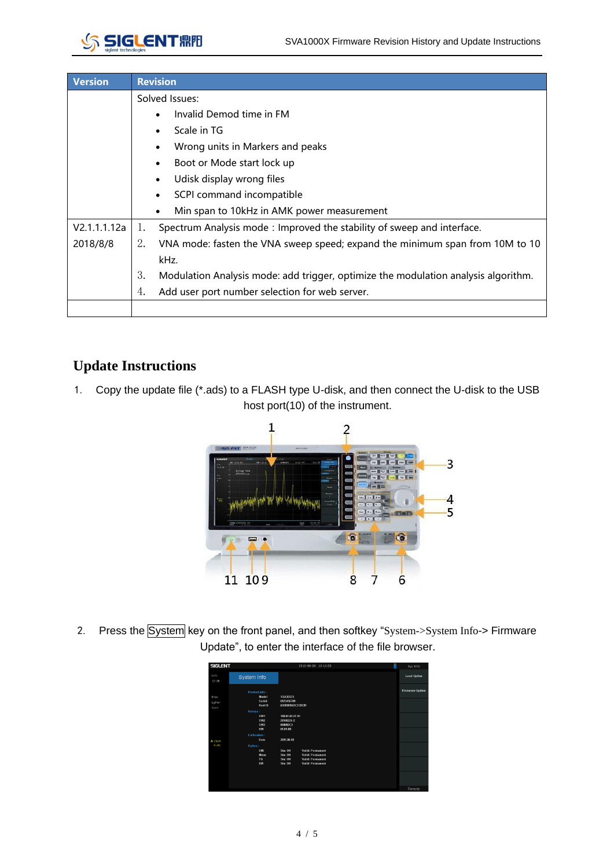

| <b>Version</b> | <b>Revision</b>                                                                          |  |  |  |  |  |  |
|----------------|------------------------------------------------------------------------------------------|--|--|--|--|--|--|
|                | Solved Issues:                                                                           |  |  |  |  |  |  |
|                | Invalid Demod time in FM                                                                 |  |  |  |  |  |  |
|                | Scale in TG                                                                              |  |  |  |  |  |  |
|                | Wrong units in Markers and peaks                                                         |  |  |  |  |  |  |
|                | Boot or Mode start lock up<br>$\bullet$                                                  |  |  |  |  |  |  |
|                | Udisk display wrong files<br>$\bullet$                                                   |  |  |  |  |  |  |
|                | SCPI command incompatible                                                                |  |  |  |  |  |  |
|                | Min span to 10kHz in AMK power measurement                                               |  |  |  |  |  |  |
| V2.1.1.1.12a   | Spectrum Analysis mode: Improved the stability of sweep and interface.<br>1.             |  |  |  |  |  |  |
| 2018/8/8       | 2.<br>VNA mode: fasten the VNA sweep speed; expand the minimum span from 10M to 10       |  |  |  |  |  |  |
|                | kHz.                                                                                     |  |  |  |  |  |  |
|                | 3.<br>Modulation Analysis mode: add trigger, optimize the modulation analysis algorithm. |  |  |  |  |  |  |
|                | 4.<br>Add user port number selection for web server.                                     |  |  |  |  |  |  |
|                |                                                                                          |  |  |  |  |  |  |

## **Update Instructions**

1. Copy the update file (\*.ads) to a FLASH type U-disk, and then connect the U-disk to the USB host port(10) of the instrument.



2. Press the System key on the front panel, and then softkey "System->System Info-> Firmware Update", to enter the interface of the file browser.

| <b>SIGLENT</b> |                      | 2013-06-26 13:13:25                | ö<br>Sys Info          |
|----------------|----------------------|------------------------------------|------------------------|
| LOG<br>10 dB   | System Info          |                                    | <b>Load Option</b>     |
|                | <b>Product info:</b> |                                    | <b>Firmware Update</b> |
| Free           | Model                | <b>SSA3032X</b>                    |                        |
| LaPwr          | Serial               | 0123456789                         |                        |
| Cont           | <b>Host ID</b>       | 60000016DC3C0C01                   |                        |
|                | Version:             |                                    |                        |
|                | SW1                  | 100.01.02.07.01                    |                        |
|                | SW <sub>2</sub>      | 20160226-2                         |                        |
|                | SW3                  | 000000C1                           |                        |
|                | <b>HW</b>            | 01.01.00                           |                        |
|                | Calibration:         |                                    |                        |
| A CS/W         | Date                 | 2015-00-00                         |                        |
| $P - PK$       | Option:              |                                    |                        |
|                | EMI                  | Sta: ON<br><b>Valid: Permanent</b> |                        |
|                | Moas                 | Sta: ON<br>Valid: Permanent        |                        |
|                | TG.                  | <b>Valid: Permanent</b><br>Sta: ON |                        |
|                | RM                   | <b>Valid: Permanent</b><br>Sta: ON |                        |
|                |                      |                                    |                        |
|                |                      |                                    |                        |
|                |                      |                                    |                        |
|                |                      |                                    |                        |
|                |                      |                                    | Remote                 |